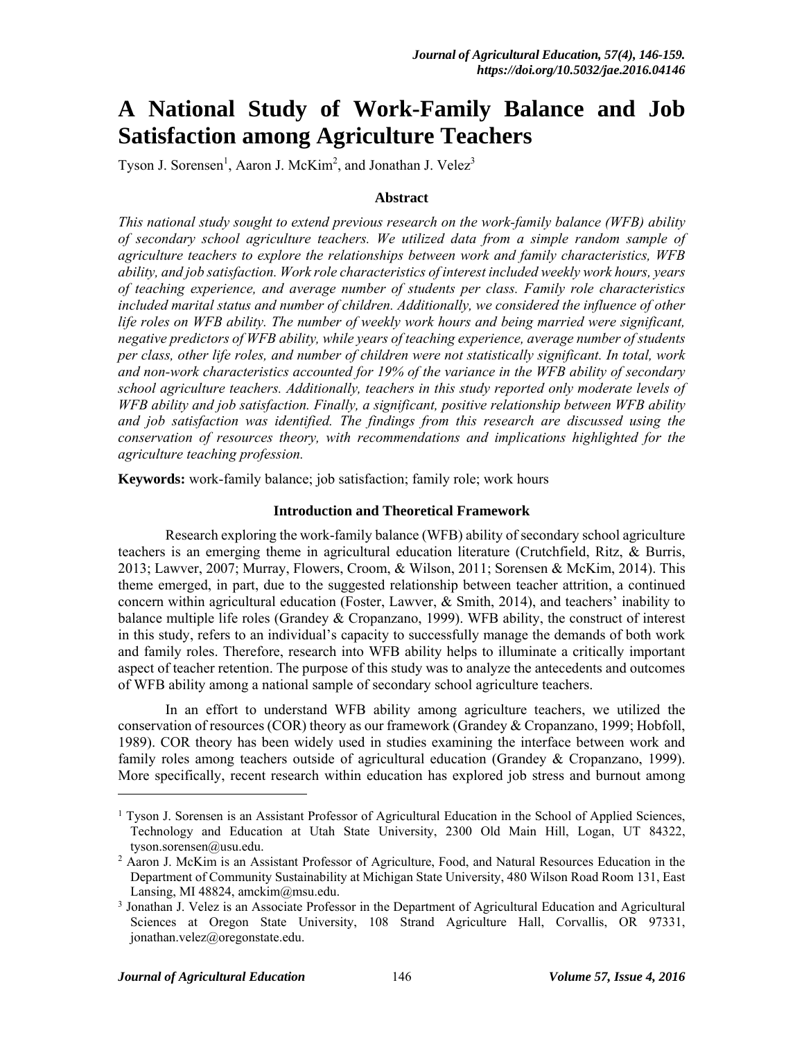# **A National Study of Work-Family Balance and Job Satisfaction among Agriculture Teachers**

Tyson J. Sorensen<sup>1</sup>, Aaron J. McKim<sup>2</sup>, and Jonathan J. Velez<sup>3</sup>

#### **Abstract**

*This national study sought to extend previous research on the work-family balance (WFB) ability of secondary school agriculture teachers. We utilized data from a simple random sample of agriculture teachers to explore the relationships between work and family characteristics, WFB ability, and job satisfaction. Work role characteristics of interest included weekly work hours, years of teaching experience, and average number of students per class. Family role characteristics included marital status and number of children. Additionally, we considered the influence of other life roles on WFB ability. The number of weekly work hours and being married were significant, negative predictors of WFB ability, while years of teaching experience, average number of students per class, other life roles, and number of children were not statistically significant. In total, work and non-work characteristics accounted for 19% of the variance in the WFB ability of secondary school agriculture teachers. Additionally, teachers in this study reported only moderate levels of WFB ability and job satisfaction. Finally, a significant, positive relationship between WFB ability and job satisfaction was identified. The findings from this research are discussed using the conservation of resources theory, with recommendations and implications highlighted for the agriculture teaching profession.* 

**Keywords:** work-family balance; job satisfaction; family role; work hours

#### **Introduction and Theoretical Framework**

 Research exploring the work-family balance (WFB) ability of secondary school agriculture teachers is an emerging theme in agricultural education literature (Crutchfield, Ritz, & Burris, 2013; Lawver, 2007; Murray, Flowers, Croom, & Wilson, 2011; Sorensen & McKim, 2014). This theme emerged, in part, due to the suggested relationship between teacher attrition, a continued concern within agricultural education (Foster, Lawver,  $\&$  Smith, 2014), and teachers' inability to balance multiple life roles (Grandey & Cropanzano, 1999). WFB ability, the construct of interest in this study, refers to an individual's capacity to successfully manage the demands of both work and family roles. Therefore, research into WFB ability helps to illuminate a critically important aspect of teacher retention. The purpose of this study was to analyze the antecedents and outcomes of WFB ability among a national sample of secondary school agriculture teachers.

 In an effort to understand WFB ability among agriculture teachers, we utilized the conservation of resources (COR) theory as our framework (Grandey & Cropanzano, 1999; Hobfoll, 1989). COR theory has been widely used in studies examining the interface between work and family roles among teachers outside of agricultural education (Grandey & Cropanzano, 1999). More specifically, recent research within education has explored job stress and burnout among

l

<sup>&</sup>lt;sup>1</sup> Tyson J. Sorensen is an Assistant Professor of Agricultural Education in the School of Applied Sciences, Technology and Education at Utah State University, 2300 Old Main Hill, Logan, UT 84322, tyson.sorensen@usu.edu.

<sup>&</sup>lt;sup>2</sup> Aaron J. McKim is an Assistant Professor of Agriculture, Food, and Natural Resources Education in the Department of Community Sustainability at Michigan State University, 480 Wilson Road Room 131, East Lansing, MI 48824, amckim $@$ msu.edu.

<sup>&</sup>lt;sup>3</sup> Jonathan J. Velez is an Associate Professor in the Department of Agricultural Education and Agricultural Sciences at Oregon State University, 108 Strand Agriculture Hall, Corvallis, OR 97331, jonathan.velez@oregonstate.edu.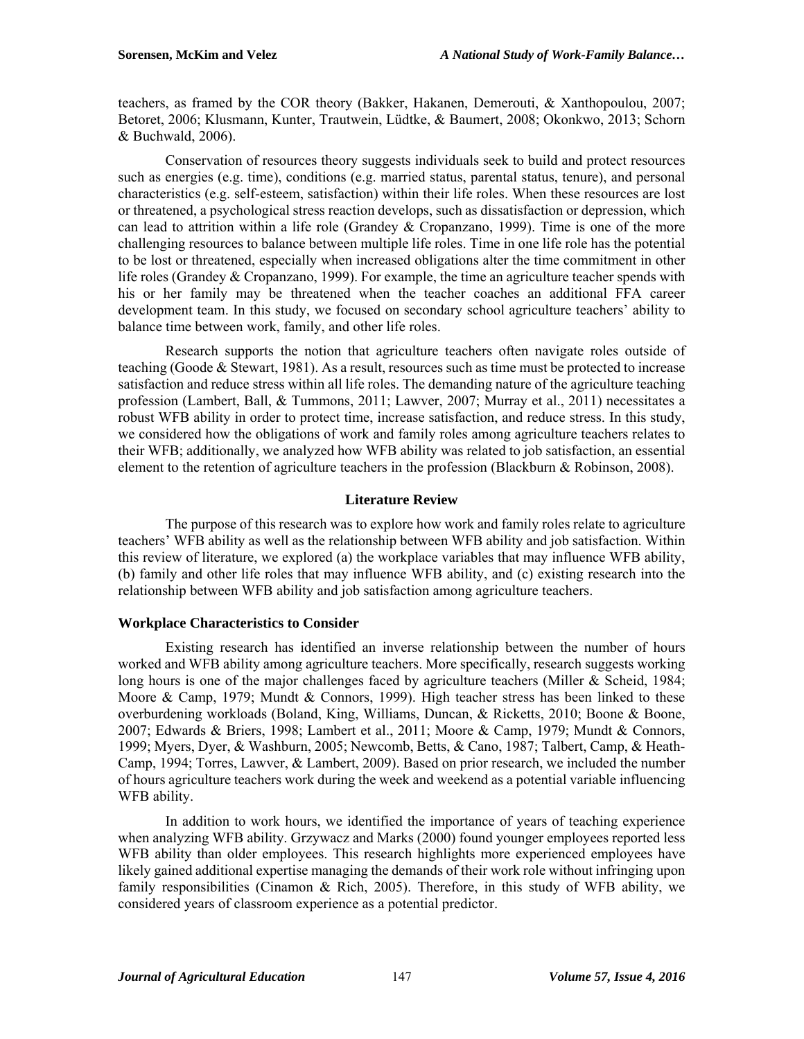teachers, as framed by the COR theory (Bakker, Hakanen, Demerouti, & Xanthopoulou, 2007; Betoret, 2006; Klusmann, Kunter, Trautwein, Lüdtke, & Baumert, 2008; Okonkwo, 2013; Schorn & Buchwald, 2006).

 Conservation of resources theory suggests individuals seek to build and protect resources such as energies (e.g. time), conditions (e.g. married status, parental status, tenure), and personal characteristics (e.g. self-esteem, satisfaction) within their life roles. When these resources are lost or threatened, a psychological stress reaction develops, such as dissatisfaction or depression, which can lead to attrition within a life role (Grandey & Cropanzano, 1999). Time is one of the more challenging resources to balance between multiple life roles. Time in one life role has the potential to be lost or threatened, especially when increased obligations alter the time commitment in other life roles (Grandey & Cropanzano, 1999). For example, the time an agriculture teacher spends with his or her family may be threatened when the teacher coaches an additional FFA career development team. In this study, we focused on secondary school agriculture teachers' ability to balance time between work, family, and other life roles.

 Research supports the notion that agriculture teachers often navigate roles outside of teaching (Goode  $&$  Stewart, 1981). As a result, resources such as time must be protected to increase satisfaction and reduce stress within all life roles. The demanding nature of the agriculture teaching profession (Lambert, Ball, & Tummons, 2011; Lawver, 2007; Murray et al., 2011) necessitates a robust WFB ability in order to protect time, increase satisfaction, and reduce stress. In this study, we considered how the obligations of work and family roles among agriculture teachers relates to their WFB; additionally, we analyzed how WFB ability was related to job satisfaction, an essential element to the retention of agriculture teachers in the profession (Blackburn & Robinson, 2008).

### **Literature Review**

 The purpose of this research was to explore how work and family roles relate to agriculture teachers' WFB ability as well as the relationship between WFB ability and job satisfaction. Within this review of literature, we explored (a) the workplace variables that may influence WFB ability, (b) family and other life roles that may influence WFB ability, and (c) existing research into the relationship between WFB ability and job satisfaction among agriculture teachers.

### **Workplace Characteristics to Consider**

 Existing research has identified an inverse relationship between the number of hours worked and WFB ability among agriculture teachers. More specifically, research suggests working long hours is one of the major challenges faced by agriculture teachers (Miller & Scheid, 1984; Moore & Camp, 1979; Mundt & Connors, 1999). High teacher stress has been linked to these overburdening workloads (Boland, King, Williams, Duncan, & Ricketts, 2010; Boone & Boone, 2007; Edwards & Briers, 1998; Lambert et al., 2011; Moore & Camp, 1979; Mundt & Connors, 1999; Myers, Dyer, & Washburn, 2005; Newcomb, Betts, & Cano, 1987; Talbert, Camp, & Heath-Camp, 1994; Torres, Lawver, & Lambert, 2009). Based on prior research, we included the number of hours agriculture teachers work during the week and weekend as a potential variable influencing WFB ability.

 In addition to work hours, we identified the importance of years of teaching experience when analyzing WFB ability. Grzywacz and Marks (2000) found younger employees reported less WFB ability than older employees. This research highlights more experienced employees have likely gained additional expertise managing the demands of their work role without infringing upon family responsibilities (Cinamon & Rich, 2005). Therefore, in this study of WFB ability, we considered years of classroom experience as a potential predictor.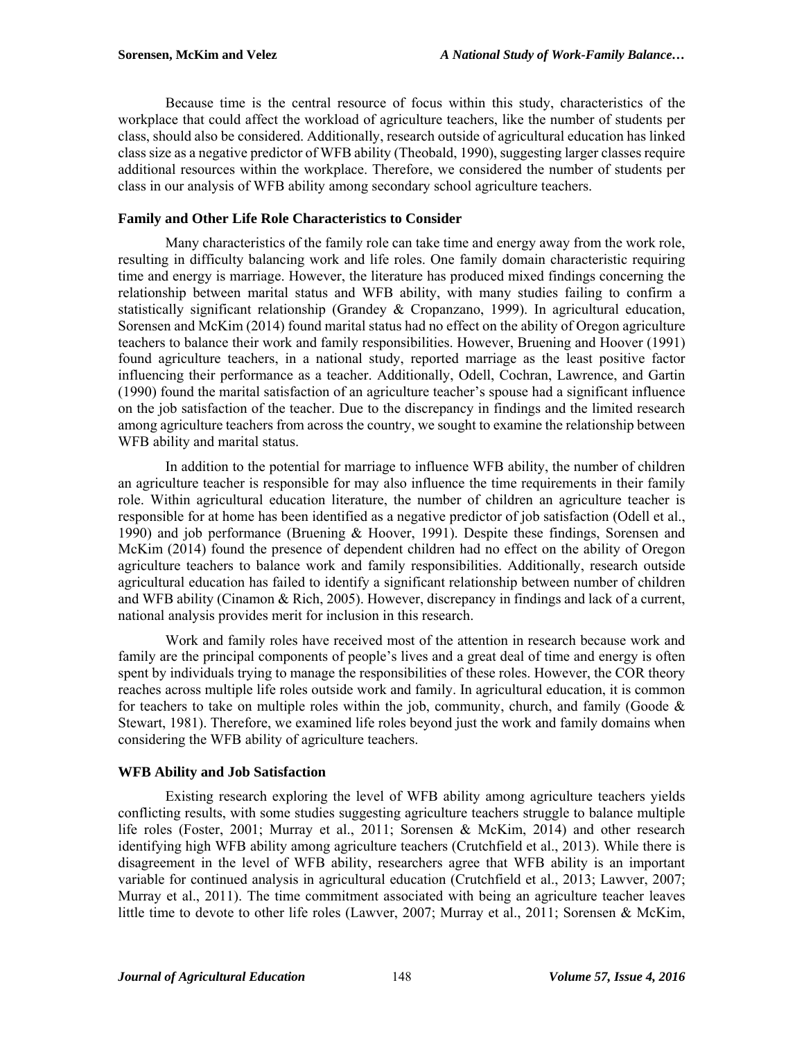Because time is the central resource of focus within this study, characteristics of the workplace that could affect the workload of agriculture teachers, like the number of students per class, should also be considered. Additionally, research outside of agricultural education has linked class size as a negative predictor of WFB ability (Theobald, 1990), suggesting larger classes require additional resources within the workplace. Therefore, we considered the number of students per class in our analysis of WFB ability among secondary school agriculture teachers.

# **Family and Other Life Role Characteristics to Consider**

Many characteristics of the family role can take time and energy away from the work role, resulting in difficulty balancing work and life roles. One family domain characteristic requiring time and energy is marriage. However, the literature has produced mixed findings concerning the relationship between marital status and WFB ability, with many studies failing to confirm a statistically significant relationship (Grandey & Cropanzano, 1999). In agricultural education, Sorensen and McKim (2014) found marital status had no effect on the ability of Oregon agriculture teachers to balance their work and family responsibilities. However, Bruening and Hoover (1991) found agriculture teachers, in a national study, reported marriage as the least positive factor influencing their performance as a teacher. Additionally, Odell, Cochran, Lawrence, and Gartin (1990) found the marital satisfaction of an agriculture teacher's spouse had a significant influence on the job satisfaction of the teacher. Due to the discrepancy in findings and the limited research among agriculture teachers from across the country, we sought to examine the relationship between WFB ability and marital status.

 In addition to the potential for marriage to influence WFB ability, the number of children an agriculture teacher is responsible for may also influence the time requirements in their family role. Within agricultural education literature, the number of children an agriculture teacher is responsible for at home has been identified as a negative predictor of job satisfaction (Odell et al., 1990) and job performance (Bruening & Hoover, 1991). Despite these findings, Sorensen and McKim (2014) found the presence of dependent children had no effect on the ability of Oregon agriculture teachers to balance work and family responsibilities. Additionally, research outside agricultural education has failed to identify a significant relationship between number of children and WFB ability (Cinamon & Rich, 2005). However, discrepancy in findings and lack of a current, national analysis provides merit for inclusion in this research.

 Work and family roles have received most of the attention in research because work and family are the principal components of people's lives and a great deal of time and energy is often spent by individuals trying to manage the responsibilities of these roles. However, the COR theory reaches across multiple life roles outside work and family. In agricultural education, it is common for teachers to take on multiple roles within the job, community, church, and family (Goode  $\&$ Stewart, 1981). Therefore, we examined life roles beyond just the work and family domains when considering the WFB ability of agriculture teachers.

# **WFB Ability and Job Satisfaction**

Existing research exploring the level of WFB ability among agriculture teachers yields conflicting results, with some studies suggesting agriculture teachers struggle to balance multiple life roles (Foster, 2001; Murray et al., 2011; Sorensen & McKim, 2014) and other research identifying high WFB ability among agriculture teachers (Crutchfield et al., 2013). While there is disagreement in the level of WFB ability, researchers agree that WFB ability is an important variable for continued analysis in agricultural education (Crutchfield et al., 2013; Lawver, 2007; Murray et al., 2011). The time commitment associated with being an agriculture teacher leaves little time to devote to other life roles (Lawver, 2007; Murray et al., 2011; Sorensen & McKim,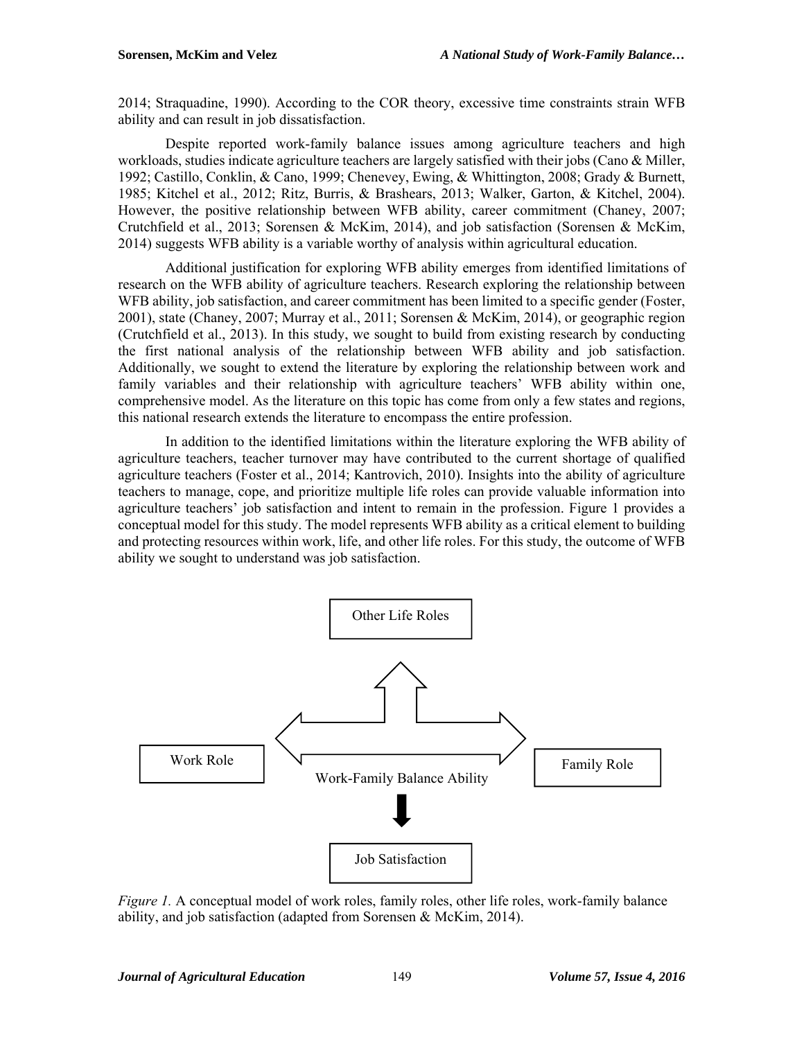2014; Straquadine, 1990). According to the COR theory, excessive time constraints strain WFB ability and can result in job dissatisfaction.

 Despite reported work-family balance issues among agriculture teachers and high workloads, studies indicate agriculture teachers are largely satisfied with their jobs (Cano & Miller, 1992; Castillo, Conklin, & Cano, 1999; Chenevey, Ewing, & Whittington, 2008; Grady & Burnett, 1985; Kitchel et al., 2012; Ritz, Burris, & Brashears, 2013; Walker, Garton, & Kitchel, 2004). However, the positive relationship between WFB ability, career commitment (Chaney, 2007; Crutchfield et al., 2013; Sorensen & McKim, 2014), and job satisfaction (Sorensen & McKim, 2014) suggests WFB ability is a variable worthy of analysis within agricultural education.

Additional justification for exploring WFB ability emerges from identified limitations of research on the WFB ability of agriculture teachers. Research exploring the relationship between WFB ability, job satisfaction, and career commitment has been limited to a specific gender (Foster, 2001), state (Chaney, 2007; Murray et al., 2011; Sorensen & McKim, 2014), or geographic region (Crutchfield et al., 2013). In this study, we sought to build from existing research by conducting the first national analysis of the relationship between WFB ability and job satisfaction. Additionally, we sought to extend the literature by exploring the relationship between work and family variables and their relationship with agriculture teachers' WFB ability within one, comprehensive model. As the literature on this topic has come from only a few states and regions, this national research extends the literature to encompass the entire profession.

In addition to the identified limitations within the literature exploring the WFB ability of agriculture teachers, teacher turnover may have contributed to the current shortage of qualified agriculture teachers (Foster et al., 2014; Kantrovich, 2010). Insights into the ability of agriculture teachers to manage, cope, and prioritize multiple life roles can provide valuable information into agriculture teachers' job satisfaction and intent to remain in the profession. Figure 1 provides a conceptual model for this study. The model represents WFB ability as a critical element to building and protecting resources within work, life, and other life roles. For this study, the outcome of WFB ability we sought to understand was job satisfaction.



*Figure 1.* A conceptual model of work roles, family roles, other life roles, work-family balance ability, and job satisfaction (adapted from Sorensen & McKim, 2014).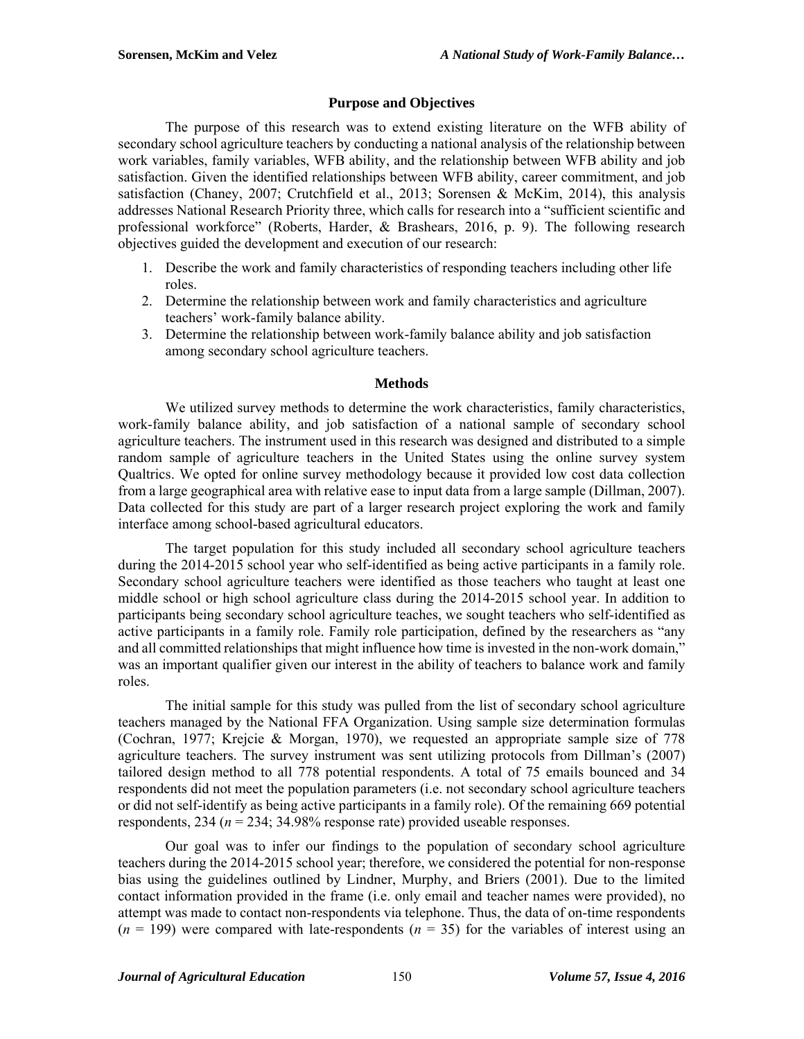# **Purpose and Objectives**

The purpose of this research was to extend existing literature on the WFB ability of secondary school agriculture teachers by conducting a national analysis of the relationship between work variables, family variables, WFB ability, and the relationship between WFB ability and job satisfaction. Given the identified relationships between WFB ability, career commitment, and job satisfaction (Chaney, 2007; Crutchfield et al., 2013; Sorensen & McKim, 2014), this analysis addresses National Research Priority three, which calls for research into a "sufficient scientific and professional workforce" (Roberts, Harder, & Brashears, 2016, p. 9). The following research objectives guided the development and execution of our research:

- 1. Describe the work and family characteristics of responding teachers including other life roles.
- 2. Determine the relationship between work and family characteristics and agriculture teachers' work-family balance ability.
- 3. Determine the relationship between work-family balance ability and job satisfaction among secondary school agriculture teachers.

### **Methods**

We utilized survey methods to determine the work characteristics, family characteristics, work-family balance ability, and job satisfaction of a national sample of secondary school agriculture teachers. The instrument used in this research was designed and distributed to a simple random sample of agriculture teachers in the United States using the online survey system Qualtrics. We opted for online survey methodology because it provided low cost data collection from a large geographical area with relative ease to input data from a large sample (Dillman, 2007). Data collected for this study are part of a larger research project exploring the work and family interface among school-based agricultural educators.

The target population for this study included all secondary school agriculture teachers during the 2014-2015 school year who self-identified as being active participants in a family role. Secondary school agriculture teachers were identified as those teachers who taught at least one middle school or high school agriculture class during the 2014-2015 school year. In addition to participants being secondary school agriculture teaches, we sought teachers who self-identified as active participants in a family role. Family role participation, defined by the researchers as "any and all committed relationships that might influence how time is invested in the non-work domain," was an important qualifier given our interest in the ability of teachers to balance work and family roles.

The initial sample for this study was pulled from the list of secondary school agriculture teachers managed by the National FFA Organization. Using sample size determination formulas (Cochran, 1977; Krejcie & Morgan, 1970), we requested an appropriate sample size of 778 agriculture teachers. The survey instrument was sent utilizing protocols from Dillman's (2007) tailored design method to all 778 potential respondents. A total of 75 emails bounced and 34 respondents did not meet the population parameters (i.e. not secondary school agriculture teachers or did not self-identify as being active participants in a family role). Of the remaining 669 potential respondents, 234 (*n* = 234; 34.98% response rate) provided useable responses.

Our goal was to infer our findings to the population of secondary school agriculture teachers during the 2014-2015 school year; therefore, we considered the potential for non-response bias using the guidelines outlined by Lindner, Murphy, and Briers (2001). Due to the limited contact information provided in the frame (i.e. only email and teacher names were provided), no attempt was made to contact non-respondents via telephone. Thus, the data of on-time respondents  $(n = 199)$  were compared with late-respondents  $(n = 35)$  for the variables of interest using an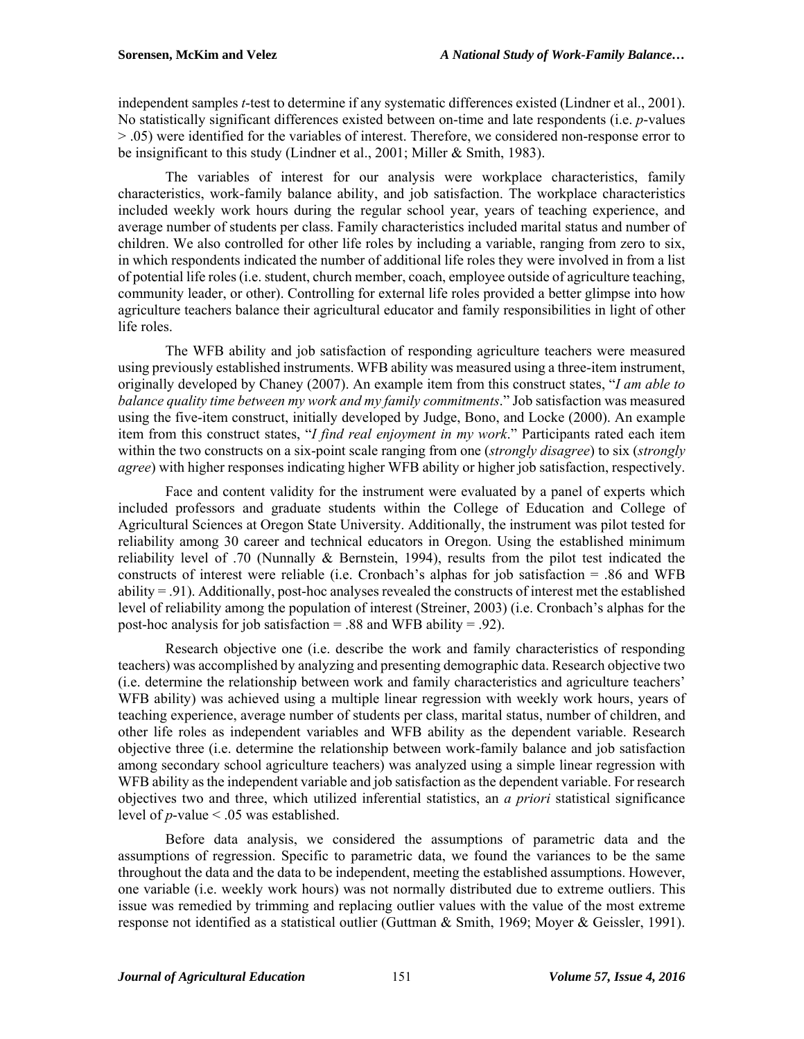independent samples *t*-test to determine if any systematic differences existed (Lindner et al., 2001). No statistically significant differences existed between on-time and late respondents (i.e. *p*-values > .05) were identified for the variables of interest. Therefore, we considered non-response error to be insignificant to this study (Lindner et al., 2001; Miller & Smith, 1983).

The variables of interest for our analysis were workplace characteristics, family characteristics, work-family balance ability, and job satisfaction. The workplace characteristics included weekly work hours during the regular school year, years of teaching experience, and average number of students per class. Family characteristics included marital status and number of children. We also controlled for other life roles by including a variable, ranging from zero to six, in which respondents indicated the number of additional life roles they were involved in from a list of potential life roles (i.e. student, church member, coach, employee outside of agriculture teaching, community leader, or other). Controlling for external life roles provided a better glimpse into how agriculture teachers balance their agricultural educator and family responsibilities in light of other life roles.

The WFB ability and job satisfaction of responding agriculture teachers were measured using previously established instruments. WFB ability was measured using a three-item instrument, originally developed by Chaney (2007). An example item from this construct states, "*I am able to balance quality time between my work and my family commitments*." Job satisfaction was measured using the five-item construct, initially developed by Judge, Bono, and Locke (2000). An example item from this construct states, "*I find real enjoyment in my work*." Participants rated each item within the two constructs on a six-point scale ranging from one (*strongly disagree*) to six (*strongly agree*) with higher responses indicating higher WFB ability or higher job satisfaction, respectively.

Face and content validity for the instrument were evaluated by a panel of experts which included professors and graduate students within the College of Education and College of Agricultural Sciences at Oregon State University. Additionally, the instrument was pilot tested for reliability among 30 career and technical educators in Oregon. Using the established minimum reliability level of .70 (Nunnally & Bernstein, 1994), results from the pilot test indicated the constructs of interest were reliable (i.e. Cronbach's alphas for job satisfaction = .86 and WFB ability = .91). Additionally, post-hoc analyses revealed the constructs of interest met the established level of reliability among the population of interest (Streiner, 2003) (i.e. Cronbach's alphas for the post-hoc analysis for job satisfaction = .88 and WFB ability = .92).

Research objective one (i.e. describe the work and family characteristics of responding teachers) was accomplished by analyzing and presenting demographic data. Research objective two (i.e. determine the relationship between work and family characteristics and agriculture teachers' WFB ability) was achieved using a multiple linear regression with weekly work hours, years of teaching experience, average number of students per class, marital status, number of children, and other life roles as independent variables and WFB ability as the dependent variable. Research objective three (i.e. determine the relationship between work-family balance and job satisfaction among secondary school agriculture teachers) was analyzed using a simple linear regression with WFB ability as the independent variable and job satisfaction as the dependent variable. For research objectives two and three, which utilized inferential statistics, an *a priori* statistical significance level of *p*-value < .05 was established.

Before data analysis, we considered the assumptions of parametric data and the assumptions of regression. Specific to parametric data, we found the variances to be the same throughout the data and the data to be independent, meeting the established assumptions. However, one variable (i.e. weekly work hours) was not normally distributed due to extreme outliers. This issue was remedied by trimming and replacing outlier values with the value of the most extreme response not identified as a statistical outlier (Guttman & Smith, 1969; Moyer & Geissler, 1991).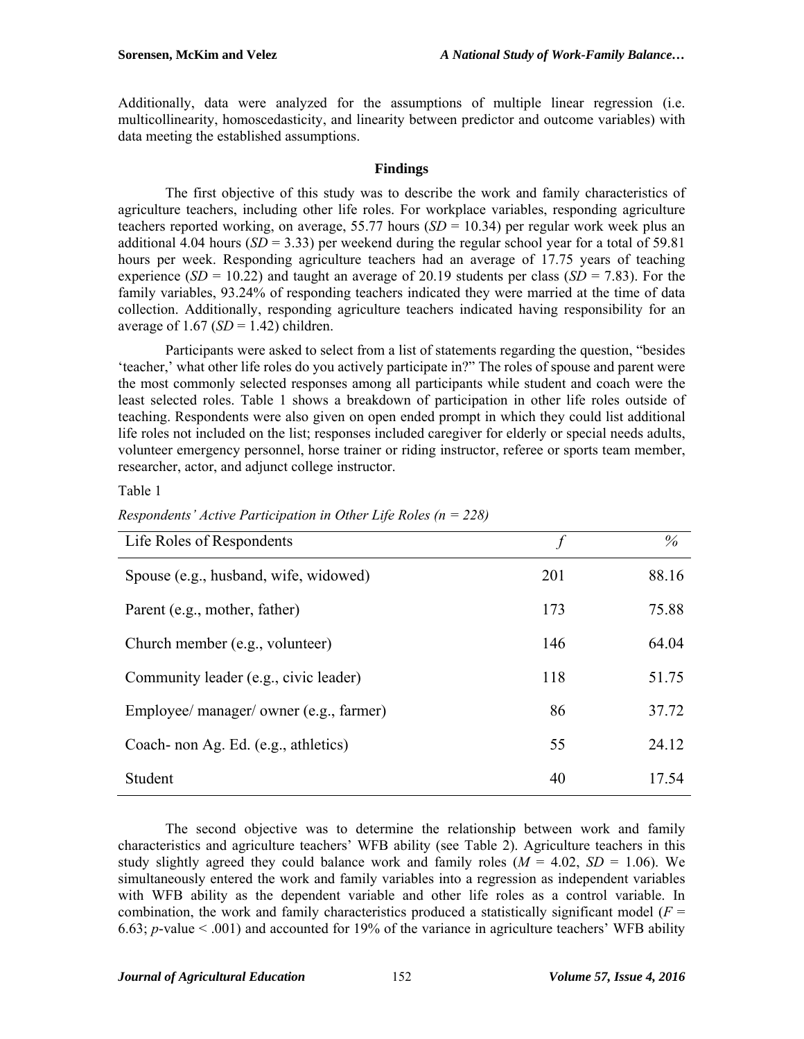Additionally, data were analyzed for the assumptions of multiple linear regression (i.e. multicollinearity, homoscedasticity, and linearity between predictor and outcome variables) with data meeting the established assumptions.

### **Findings**

The first objective of this study was to describe the work and family characteristics of agriculture teachers, including other life roles. For workplace variables, responding agriculture teachers reported working, on average, 55.77 hours  $(SD = 10.34)$  per regular work week plus an additional 4.04 hours  $(SD = 3.33)$  per weekend during the regular school year for a total of 59.81 hours per week. Responding agriculture teachers had an average of 17.75 years of teaching experience (*SD* = 10.22) and taught an average of 20.19 students per class (*SD* = 7.83). For the family variables, 93.24% of responding teachers indicated they were married at the time of data collection. Additionally, responding agriculture teachers indicated having responsibility for an average of  $1.67$  (*SD* = 1.42) children.

Participants were asked to select from a list of statements regarding the question, "besides 'teacher,' what other life roles do you actively participate in?" The roles of spouse and parent were the most commonly selected responses among all participants while student and coach were the least selected roles. Table 1 shows a breakdown of participation in other life roles outside of teaching. Respondents were also given on open ended prompt in which they could list additional life roles not included on the list; responses included caregiver for elderly or special needs adults, volunteer emergency personnel, horse trainer or riding instructor, referee or sports team member, researcher, actor, and adjunct college instructor.

### Table 1

| Life Roles of Respondents               | $\int$ | $\%$  |
|-----------------------------------------|--------|-------|
| Spouse (e.g., husband, wife, widowed)   | 201    | 88.16 |
| Parent (e.g., mother, father)           | 173    | 75.88 |
| Church member (e.g., volunteer)         | 146    | 64.04 |
| Community leader (e.g., civic leader)   | 118    | 51.75 |
| Employee/ manager/ owner (e.g., farmer) | 86     | 37.72 |
| Coach- non Ag. Ed. (e.g., athletics)    | 55     | 24.12 |
| Student                                 | 40     | 17.54 |

*Respondents' Active Participation in Other Life Roles (n = 228)* 

The second objective was to determine the relationship between work and family characteristics and agriculture teachers' WFB ability (see Table 2). Agriculture teachers in this study slightly agreed they could balance work and family roles  $(M = 4.02, SD = 1.06)$ . We simultaneously entered the work and family variables into a regression as independent variables with WFB ability as the dependent variable and other life roles as a control variable. In combination, the work and family characteristics produced a statistically significant model ( $F =$ 6.63; *p*-value  $\leq$  .001) and accounted for 19% of the variance in agriculture teachers' WFB ability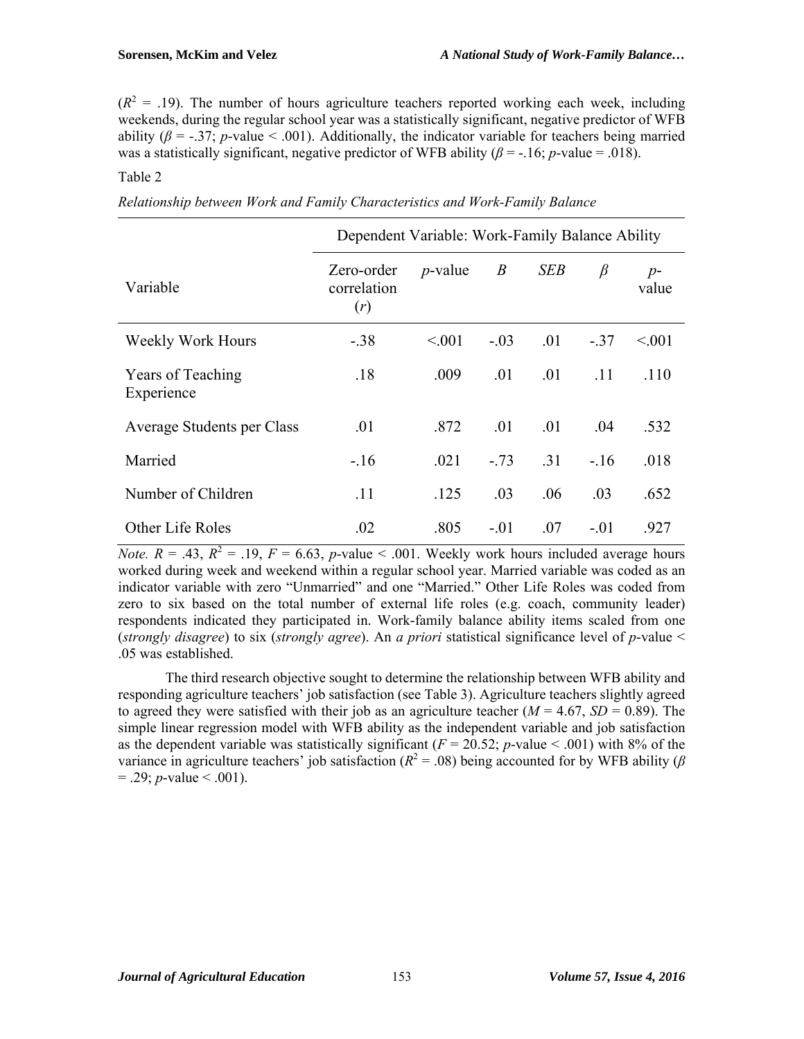$(R<sup>2</sup> = .19)$ . The number of hours agriculture teachers reported working each week, including weekends, during the regular school year was a statistically significant, negative predictor of WFB ability  $(\beta = -0.37; p-value < 0.001)$ . Additionally, the indicator variable for teachers being married was a statistically significant, negative predictor of WFB ability ( $\beta$  = -.16; *p*-value = .018).

# Table 2

| Relationship between Work and Family Characteristics and Work-Family Balance |  |  |  |
|------------------------------------------------------------------------------|--|--|--|
|                                                                              |  |  |  |

|                                        | Dependent Variable: Work-Family Balance Ability |            |                  |            |         |               |
|----------------------------------------|-------------------------------------------------|------------|------------------|------------|---------|---------------|
| Variable                               | Zero-order<br>correlation<br>(r)                | $p$ -value | $\boldsymbol{B}$ | <b>SEB</b> | $\beta$ | $p-$<br>value |
| Weekly Work Hours                      | $-.38$                                          | < 0.01     | $-.03$           | .01        | $-.37$  | < 0.01        |
| <b>Years of Teaching</b><br>Experience | .18                                             | .009       | .01              | .01        | .11     | .110          |
| Average Students per Class             | .01                                             | .872       | .01              | .01        | .04     | .532          |
| Married                                | $-.16$                                          | .021       | $-.73$           | .31        | $-.16$  | .018          |
| Number of Children                     | .11                                             | .125       | .03              | .06        | .03     | .652          |
| Other Life Roles                       | .02                                             | .805       | $-.01$           | .07        | $-.01$  | .927          |

*Note.*  $R = .43$ ,  $R^2 = .19$ ,  $F = 6.63$ , *p*-value < .001. Weekly work hours included average hours worked during week and weekend within a regular school year. Married variable was coded as an indicator variable with zero "Unmarried" and one "Married." Other Life Roles was coded from zero to six based on the total number of external life roles (e.g. coach, community leader) respondents indicated they participated in. Work-family balance ability items scaled from one (*strongly disagree*) to six (*strongly agree*). An *a priori* statistical significance level of *p*-value < .05 was established.

The third research objective sought to determine the relationship between WFB ability and responding agriculture teachers' job satisfaction (see Table 3). Agriculture teachers slightly agreed to agreed they were satisfied with their job as an agriculture teacher  $(M = 4.67, SD = 0.89)$ . The simple linear regression model with WFB ability as the independent variable and job satisfaction as the dependent variable was statistically significant ( $F = 20.52$ ; *p*-value < .001) with 8% of the variance in agriculture teachers' job satisfaction ( $R^2 = .08$ ) being accounted for by WFB ability ( $\beta$  $= .29$ ; *p*-value  $\leq .001$ ).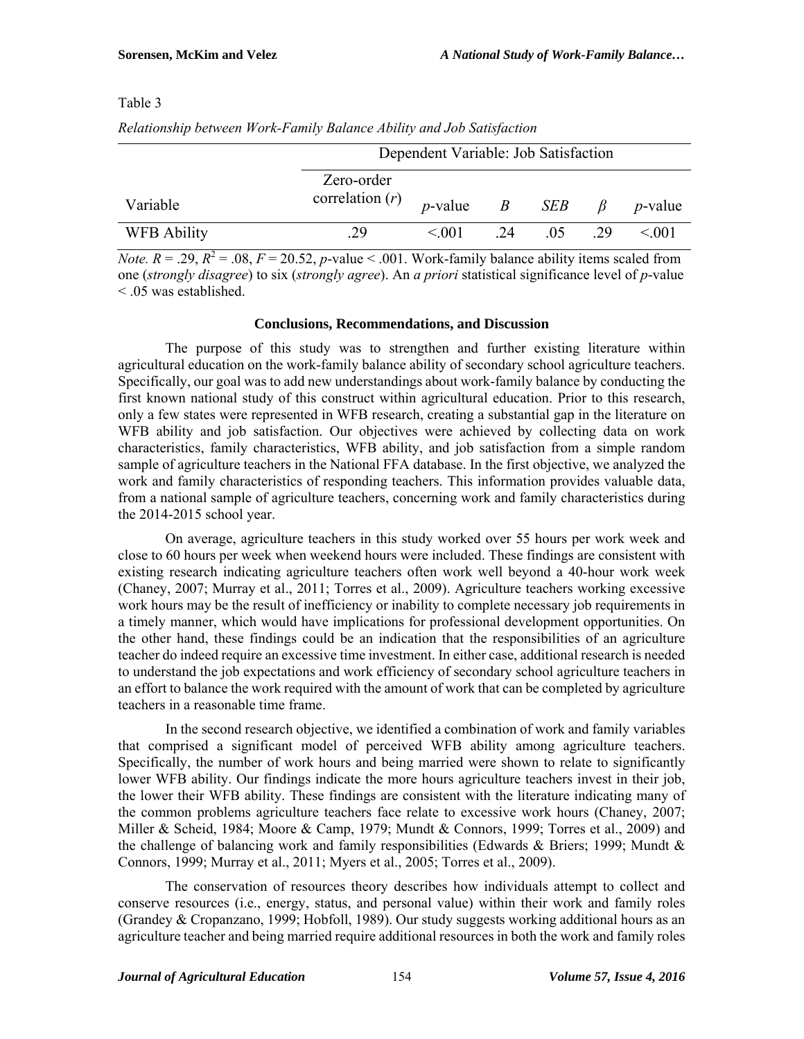# Table 3

*Relationship between Work-Family Balance Ability and Job Satisfaction* 

|                    | Dependent Variable: Job Satisfaction            |             |    |       |         |                 |
|--------------------|-------------------------------------------------|-------------|----|-------|---------|-----------------|
| Variable           | Zero-order<br>correlation $(r)$ <i>p</i> -value |             |    | B SEB | $\beta$ | <i>p</i> -value |
| <b>WFB Ability</b> | 29                                              | $\leq 0.01$ | 24 | .05   | 29      | < 0.01          |

*Note. R* = .29,  $R^2$  = .08,  $F = 20.52$ , *p*-value < .001. Work-family balance ability items scaled from one (*strongly disagree*) to six (*strongly agree*). An *a priori* statistical significance level of *p*-value < .05 was established.

#### **Conclusions, Recommendations, and Discussion**

The purpose of this study was to strengthen and further existing literature within agricultural education on the work-family balance ability of secondary school agriculture teachers. Specifically, our goal was to add new understandings about work-family balance by conducting the first known national study of this construct within agricultural education. Prior to this research, only a few states were represented in WFB research, creating a substantial gap in the literature on WFB ability and job satisfaction. Our objectives were achieved by collecting data on work characteristics, family characteristics, WFB ability, and job satisfaction from a simple random sample of agriculture teachers in the National FFA database. In the first objective, we analyzed the work and family characteristics of responding teachers. This information provides valuable data, from a national sample of agriculture teachers, concerning work and family characteristics during the 2014-2015 school year.

 On average, agriculture teachers in this study worked over 55 hours per work week and close to 60 hours per week when weekend hours were included. These findings are consistent with existing research indicating agriculture teachers often work well beyond a 40-hour work week (Chaney, 2007; Murray et al., 2011; Torres et al., 2009). Agriculture teachers working excessive work hours may be the result of inefficiency or inability to complete necessary job requirements in a timely manner, which would have implications for professional development opportunities. On the other hand, these findings could be an indication that the responsibilities of an agriculture teacher do indeed require an excessive time investment. In either case, additional research is needed to understand the job expectations and work efficiency of secondary school agriculture teachers in an effort to balance the work required with the amount of work that can be completed by agriculture teachers in a reasonable time frame.

In the second research objective, we identified a combination of work and family variables that comprised a significant model of perceived WFB ability among agriculture teachers. Specifically, the number of work hours and being married were shown to relate to significantly lower WFB ability. Our findings indicate the more hours agriculture teachers invest in their job, the lower their WFB ability. These findings are consistent with the literature indicating many of the common problems agriculture teachers face relate to excessive work hours (Chaney, 2007; Miller & Scheid, 1984; Moore & Camp, 1979; Mundt & Connors, 1999; Torres et al., 2009) and the challenge of balancing work and family responsibilities (Edwards & Briers; 1999; Mundt & Connors, 1999; Murray et al., 2011; Myers et al., 2005; Torres et al., 2009).

The conservation of resources theory describes how individuals attempt to collect and conserve resources (i.e., energy, status, and personal value) within their work and family roles (Grandey & Cropanzano, 1999; Hobfoll, 1989). Our study suggests working additional hours as an agriculture teacher and being married require additional resources in both the work and family roles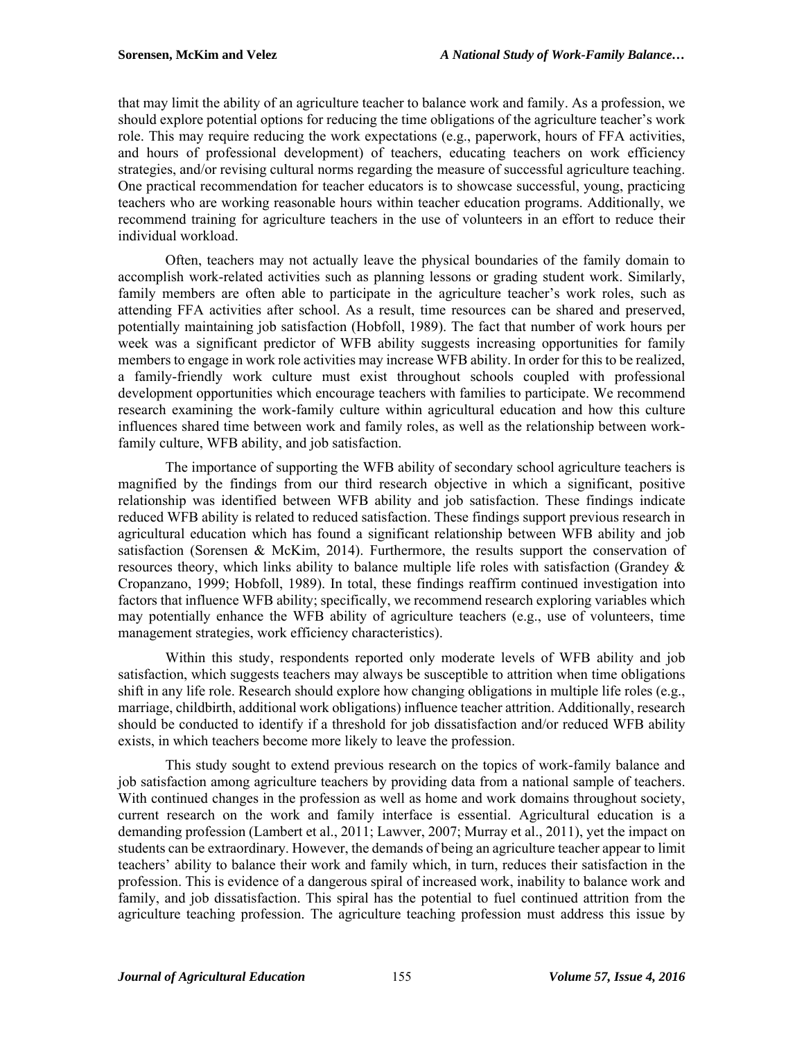that may limit the ability of an agriculture teacher to balance work and family. As a profession, we should explore potential options for reducing the time obligations of the agriculture teacher's work role. This may require reducing the work expectations (e.g., paperwork, hours of FFA activities, and hours of professional development) of teachers, educating teachers on work efficiency strategies, and/or revising cultural norms regarding the measure of successful agriculture teaching. One practical recommendation for teacher educators is to showcase successful, young, practicing teachers who are working reasonable hours within teacher education programs. Additionally, we recommend training for agriculture teachers in the use of volunteers in an effort to reduce their individual workload.

Often, teachers may not actually leave the physical boundaries of the family domain to accomplish work-related activities such as planning lessons or grading student work. Similarly, family members are often able to participate in the agriculture teacher's work roles, such as attending FFA activities after school. As a result, time resources can be shared and preserved, potentially maintaining job satisfaction (Hobfoll, 1989). The fact that number of work hours per week was a significant predictor of WFB ability suggests increasing opportunities for family members to engage in work role activities may increase WFB ability. In order for this to be realized, a family-friendly work culture must exist throughout schools coupled with professional development opportunities which encourage teachers with families to participate. We recommend research examining the work-family culture within agricultural education and how this culture influences shared time between work and family roles, as well as the relationship between workfamily culture, WFB ability, and job satisfaction.

The importance of supporting the WFB ability of secondary school agriculture teachers is magnified by the findings from our third research objective in which a significant, positive relationship was identified between WFB ability and job satisfaction. These findings indicate reduced WFB ability is related to reduced satisfaction. These findings support previous research in agricultural education which has found a significant relationship between WFB ability and job satisfaction (Sorensen & McKim, 2014). Furthermore, the results support the conservation of resources theory, which links ability to balance multiple life roles with satisfaction (Grandey & Cropanzano, 1999; Hobfoll, 1989). In total, these findings reaffirm continued investigation into factors that influence WFB ability; specifically, we recommend research exploring variables which may potentially enhance the WFB ability of agriculture teachers (e.g., use of volunteers, time management strategies, work efficiency characteristics).

Within this study, respondents reported only moderate levels of WFB ability and job satisfaction, which suggests teachers may always be susceptible to attrition when time obligations shift in any life role. Research should explore how changing obligations in multiple life roles (e.g., marriage, childbirth, additional work obligations) influence teacher attrition. Additionally, research should be conducted to identify if a threshold for job dissatisfaction and/or reduced WFB ability exists, in which teachers become more likely to leave the profession.

This study sought to extend previous research on the topics of work-family balance and job satisfaction among agriculture teachers by providing data from a national sample of teachers. With continued changes in the profession as well as home and work domains throughout society, current research on the work and family interface is essential. Agricultural education is a demanding profession (Lambert et al., 2011; Lawver, 2007; Murray et al., 2011), yet the impact on students can be extraordinary. However, the demands of being an agriculture teacher appear to limit teachers' ability to balance their work and family which, in turn, reduces their satisfaction in the profession. This is evidence of a dangerous spiral of increased work, inability to balance work and family, and job dissatisfaction. This spiral has the potential to fuel continued attrition from the agriculture teaching profession. The agriculture teaching profession must address this issue by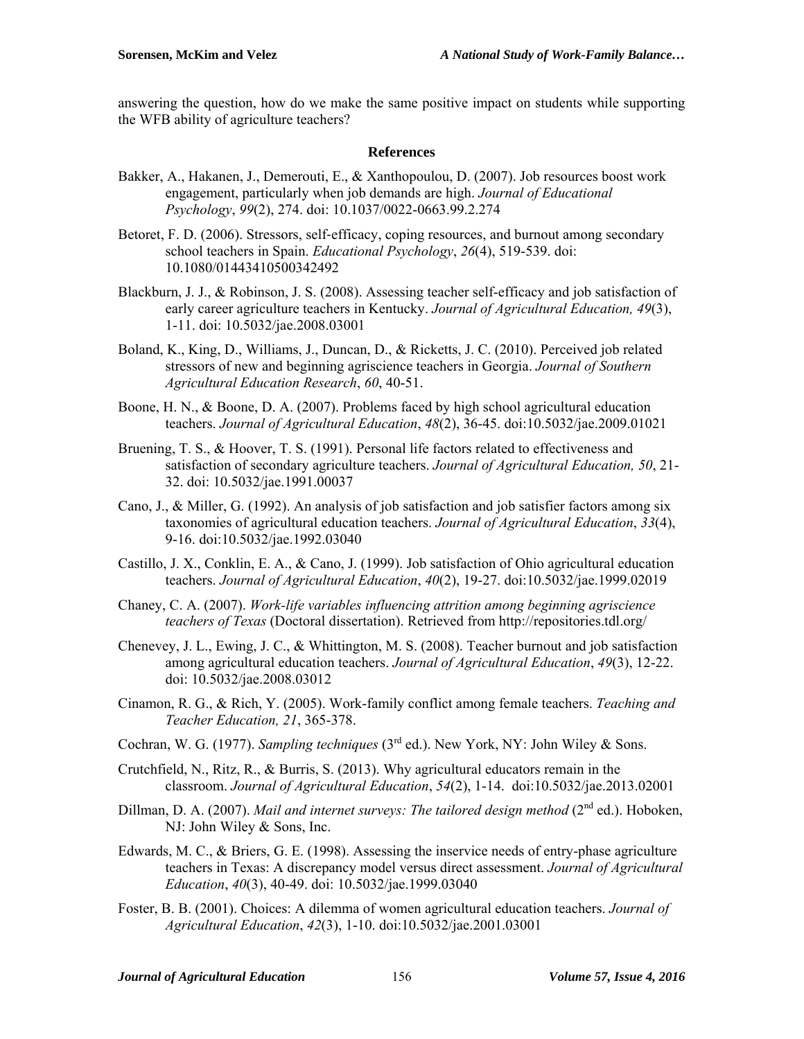answering the question, how do we make the same positive impact on students while supporting the WFB ability of agriculture teachers?

# **References**

- Bakker, A., Hakanen, J., Demerouti, E., & Xanthopoulou, D. (2007). Job resources boost work engagement, particularly when job demands are high. *Journal of Educational Psychology*, *99*(2), 274. doi: 10.1037/0022-0663.99.2.274
- Betoret, F. D. (2006). Stressors, self-efficacy, coping resources, and burnout among secondary school teachers in Spain. *Educational Psychology*, *26*(4), 519-539. doi: 10.1080/01443410500342492
- Blackburn, J. J., & Robinson, J. S. (2008). Assessing teacher self-efficacy and job satisfaction of early career agriculture teachers in Kentucky. *Journal of Agricultural Education, 49*(3), 1-11. doi: 10.5032/jae.2008.03001
- Boland, K., King, D., Williams, J., Duncan, D., & Ricketts, J. C. (2010). Perceived job related stressors of new and beginning agriscience teachers in Georgia. *Journal of Southern Agricultural Education Research*, *60*, 40-51.
- Boone, H. N., & Boone, D. A. (2007). Problems faced by high school agricultural education teachers. *Journal of Agricultural Education*, *48*(2), 36-45. doi:10.5032/jae.2009.01021
- Bruening, T. S., & Hoover, T. S. (1991). Personal life factors related to effectiveness and satisfaction of secondary agriculture teachers. *Journal of Agricultural Education, 50*, 21- 32. doi: 10.5032/jae.1991.00037
- Cano, J., & Miller, G. (1992). An analysis of job satisfaction and job satisfier factors among six taxonomies of agricultural education teachers. *Journal of Agricultural Education*, *33*(4), 9-16. doi:10.5032/jae.1992.03040
- Castillo, J. X., Conklin, E. A., & Cano, J. (1999). Job satisfaction of Ohio agricultural education teachers. *Journal of Agricultural Education*, *40*(2), 19-27. doi:10.5032/jae.1999.02019
- Chaney, C. A. (2007). *Work-life variables influencing attrition among beginning agriscience teachers of Texas* (Doctoral dissertation). Retrieved from http://repositories.tdl.org/
- Chenevey, J. L., Ewing, J. C., & Whittington, M. S. (2008). Teacher burnout and job satisfaction among agricultural education teachers. *Journal of Agricultural Education*, *49*(3), 12-22. doi: 10.5032/jae.2008.03012
- Cinamon, R. G., & Rich, Y. (2005). Work-family conflict among female teachers. *Teaching and Teacher Education, 21*, 365-378.
- Cochran, W. G. (1977). *Sampling techniques* (3<sup>rd</sup> ed.). New York, NY: John Wiley & Sons.
- Crutchfield, N., Ritz, R., & Burris, S. (2013). Why agricultural educators remain in the classroom. *Journal of Agricultural Education*, *54*(2), 1-14. doi:10.5032/jae.2013.02001
- Dillman, D. A. (2007). *Mail and internet surveys: The tailored design method* (2<sup>nd</sup> ed.). Hoboken, NJ: John Wiley & Sons, Inc.
- Edwards, M. C., & Briers, G. E. (1998). Assessing the inservice needs of entry-phase agriculture teachers in Texas: A discrepancy model versus direct assessment. *Journal of Agricultural Education*, *40*(3), 40-49. doi: 10.5032/jae.1999.03040
- Foster, B. B. (2001). Choices: A dilemma of women agricultural education teachers. *Journal of Agricultural Education*, *42*(3), 1-10. doi:10.5032/jae.2001.03001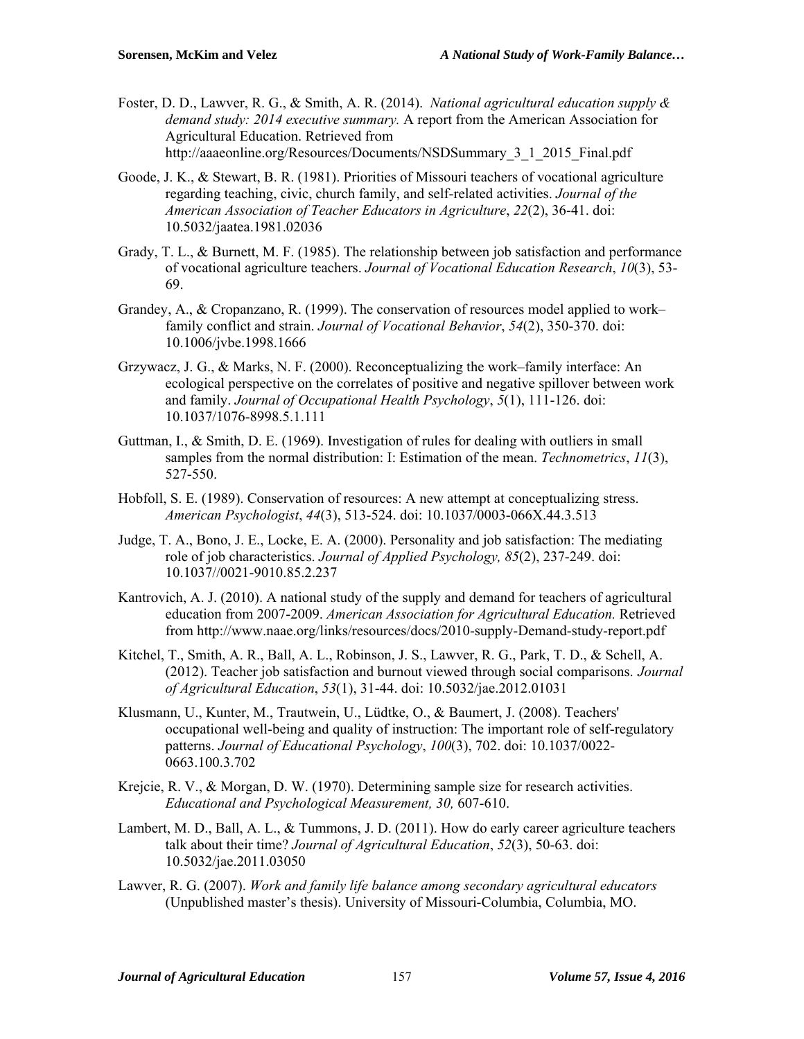- Foster, D. D., Lawver, R. G., & Smith, A. R. (2014). *National agricultural education supply & demand study: 2014 executive summary.* A report from the American Association for Agricultural Education. Retrieved from http://aaaeonline.org/Resources/Documents/NSDSummary\_3\_1\_2015\_Final.pdf
- Goode, J. K., & Stewart, B. R. (1981). Priorities of Missouri teachers of vocational agriculture regarding teaching, civic, church family, and self-related activities. *Journal of the American Association of Teacher Educators in Agriculture*, *22*(2), 36-41. doi: 10.5032/jaatea.1981.02036
- Grady, T. L., & Burnett, M. F. (1985). The relationship between job satisfaction and performance of vocational agriculture teachers. *Journal of Vocational Education Research*, *10*(3), 53- 69.
- Grandey, A., & Cropanzano, R. (1999). The conservation of resources model applied to work– family conflict and strain. *Journal of Vocational Behavior*, *54*(2), 350-370. doi: 10.1006/jvbe.1998.1666
- Grzywacz, J. G., & Marks, N. F. (2000). Reconceptualizing the work–family interface: An ecological perspective on the correlates of positive and negative spillover between work and family. *Journal of Occupational Health Psychology*, *5*(1), 111-126. doi: 10.1037/1076-8998.5.1.111
- Guttman, I.,  $\&$  Smith, D. E. (1969). Investigation of rules for dealing with outliers in small samples from the normal distribution: I: Estimation of the mean. *Technometrics*, *11*(3), 527-550.
- Hobfoll, S. E. (1989). Conservation of resources: A new attempt at conceptualizing stress. *American Psychologist*, *44*(3), 513-524. doi: 10.1037/0003-066X.44.3.513
- Judge, T. A., Bono, J. E., Locke, E. A. (2000). Personality and job satisfaction: The mediating role of job characteristics. *Journal of Applied Psychology, 85*(2), 237-249. doi: 10.1037//0021-9010.85.2.237
- Kantrovich, A. J. (2010). A national study of the supply and demand for teachers of agricultural education from 2007-2009. *American Association for Agricultural Education.* Retrieved from http://www.naae.org/links/resources/docs/2010-supply-Demand-study-report.pdf
- Kitchel, T., Smith, A. R., Ball, A. L., Robinson, J. S., Lawver, R. G., Park, T. D., & Schell, A. (2012). Teacher job satisfaction and burnout viewed through social comparisons. *Journal of Agricultural Education*, *53*(1), 31-44. doi: 10.5032/jae.2012.01031
- Klusmann, U., Kunter, M., Trautwein, U., Lüdtke, O., & Baumert, J. (2008). Teachers' occupational well-being and quality of instruction: The important role of self-regulatory patterns. *Journal of Educational Psychology*, *100*(3), 702. doi: 10.1037/0022- 0663.100.3.702
- Krejcie, R. V., & Morgan, D. W. (1970). Determining sample size for research activities. *Educational and Psychological Measurement, 30,* 607-610.
- Lambert, M. D., Ball, A. L., & Tummons, J. D. (2011). How do early career agriculture teachers talk about their time? *Journal of Agricultural Education*, *52*(3), 50-63. doi: 10.5032/jae.2011.03050
- Lawver, R. G. (2007). *Work and family life balance among secondary agricultural educators* (Unpublished master's thesis). University of Missouri-Columbia, Columbia, MO.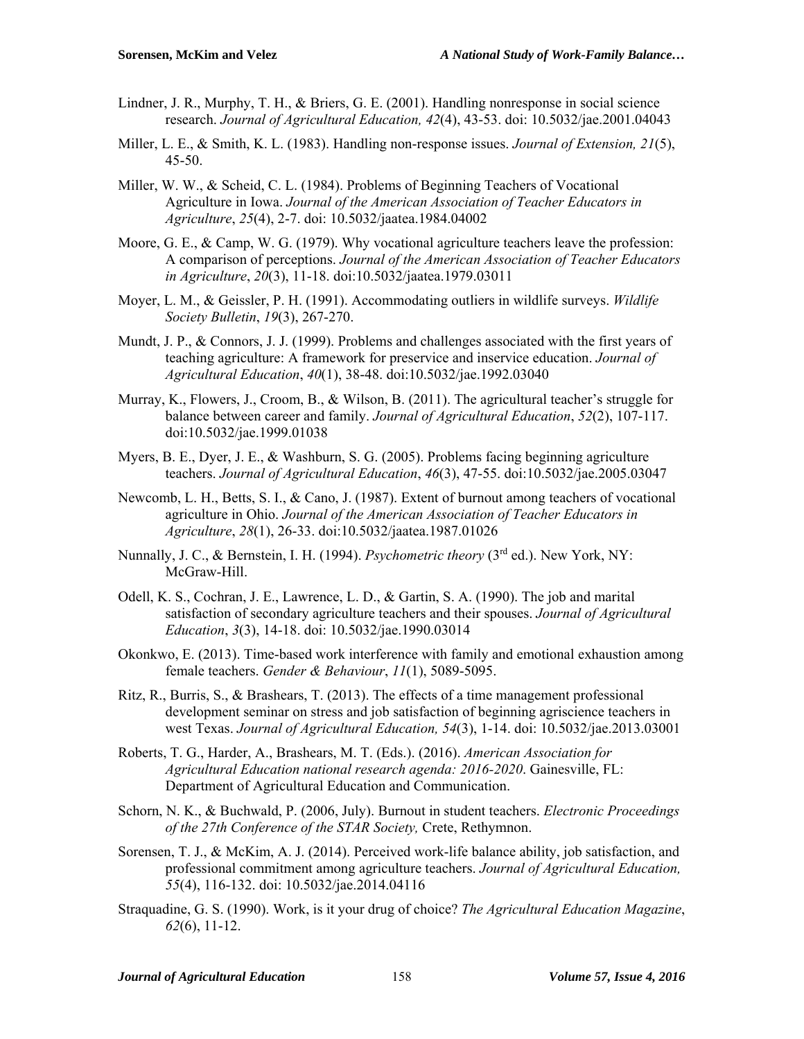- Lindner, J. R., Murphy, T. H., & Briers, G. E. (2001). Handling nonresponse in social science research. *Journal of Agricultural Education, 42*(4), 43-53. doi: 10.5032/jae.2001.04043
- Miller, L. E., & Smith, K. L. (1983). Handling non-response issues. *Journal of Extension, 21*(5), 45-50.
- Miller, W. W., & Scheid, C. L. (1984). Problems of Beginning Teachers of Vocational Agriculture in Iowa. *Journal of the American Association of Teacher Educators in Agriculture*, *25*(4), 2-7. doi: 10.5032/jaatea.1984.04002
- Moore, G. E., & Camp, W. G. (1979). Why vocational agriculture teachers leave the profession: A comparison of perceptions. *Journal of the American Association of Teacher Educators in Agriculture*, *20*(3), 11-18. doi:10.5032/jaatea.1979.03011
- Moyer, L. M., & Geissler, P. H. (1991). Accommodating outliers in wildlife surveys. *Wildlife Society Bulletin*, *19*(3), 267-270.
- Mundt, J. P., & Connors, J. J. (1999). Problems and challenges associated with the first years of teaching agriculture: A framework for preservice and inservice education. *Journal of Agricultural Education*, *40*(1), 38-48. doi:10.5032/jae.1992.03040
- Murray, K., Flowers, J., Croom, B., & Wilson, B. (2011). The agricultural teacher's struggle for balance between career and family. *Journal of Agricultural Education*, *52*(2), 107-117. doi:10.5032/jae.1999.01038
- Myers, B. E., Dyer, J. E., & Washburn, S. G. (2005). Problems facing beginning agriculture teachers. *Journal of Agricultural Education*, *46*(3), 47-55. doi:10.5032/jae.2005.03047
- Newcomb, L. H., Betts, S. I., & Cano, J. (1987). Extent of burnout among teachers of vocational agriculture in Ohio. *Journal of the American Association of Teacher Educators in Agriculture*, *28*(1), 26-33. doi:10.5032/jaatea.1987.01026
- Nunnally, J. C., & Bernstein, I. H. (1994). *Psychometric theory* (3rd ed.). New York, NY: McGraw-Hill.
- Odell, K. S., Cochran, J. E., Lawrence, L. D., & Gartin, S. A. (1990). The job and marital satisfaction of secondary agriculture teachers and their spouses. *Journal of Agricultural Education*, *3*(3), 14-18. doi: 10.5032/jae.1990.03014
- Okonkwo, E. (2013). Time-based work interference with family and emotional exhaustion among female teachers. *Gender & Behaviour*, *11*(1), 5089-5095.
- Ritz, R., Burris, S., & Brashears, T. (2013). The effects of a time management professional development seminar on stress and job satisfaction of beginning agriscience teachers in west Texas. *Journal of Agricultural Education, 54*(3), 1-14. doi: 10.5032/jae.2013.03001
- Roberts, T. G., Harder, A., Brashears, M. T. (Eds.). (2016). *American Association for Agricultural Education national research agenda: 2016-2020*. Gainesville, FL: Department of Agricultural Education and Communication.
- Schorn, N. K., & Buchwald, P. (2006, July). Burnout in student teachers. *Electronic Proceedings of the 27th Conference of the STAR Society,* Crete, Rethymnon.
- Sorensen, T. J., & McKim, A. J. (2014). Perceived work-life balance ability, job satisfaction, and professional commitment among agriculture teachers. *Journal of Agricultural Education, 55*(4), 116-132. doi: 10.5032/jae.2014.04116
- Straquadine, G. S. (1990). Work, is it your drug of choice? *The Agricultural Education Magazine*, *62*(6), 11-12.